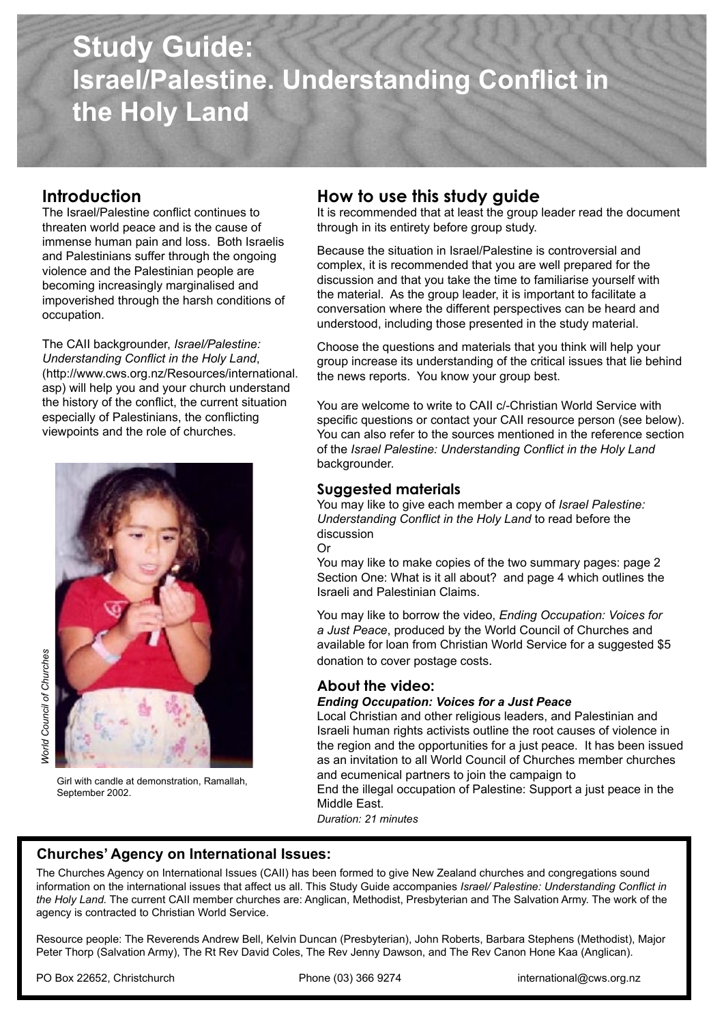# **Study Guide: Israel/Palestine. Understanding Conflict in the Holy Land**

## **Introduction**

**Introduction**<br>The Israel/Palestine conflict continues to Inreaten world peace and is the cause of **Internal in the entity before group** study.<br>Immense human pain and loss. Both Israelis **Regause the situation in Israel/Palestine** is contr and Palestinians suiter unough the ongo<br>violence and the Palestinian people are threaten world peace and is the cause of and Palestinians suffer through the ongoing becoming increasingly marginalised and impoverished through the harsh conditions of occupation.

The CAII backgrounder, *Israel/Palestine: Understanding Conflict in the Holy Land*, (http://www.cws.org.nz/Resources/international. asp) will help you and your church understand the history of the conflict, the current situation especially of Palestinians, the conflicting viewpoints and the role of churches.



Girl with candle at demonstration, Ramallah, September 2002.

## **How to use this study guide**

It is recommended that at least the group leader read the document through in its entirety before group study.

Because the situation in Israel/Palestine is controversial and complex, it is recommended that you are well prepared for the discussion and that you take the time to familiarise yourself with the material. As the group leader, it is important to facilitate a conversation where the different perspectives can be heard and understood, including those presented in the study material.

Choose the questions and materials that you think will help your group increase its understanding of the critical issues that lie behind the news reports. You know your group best.

You are welcome to write to CAII c/-Christian World Service with specific questions or contact your CAII resource person (see below). You can also refer to the sources mentioned in the reference section of the *Israel Palestine: Understanding Conflict in the Holy Land*  backgrounder.

### **Suggested materials**

You may like to give each member a copy of *Israel Palestine: Understanding Conflict in the Holy Land* to read before the discussion

Or You may like to make copies of the two summary pages: page 2 Section One: What is it all about? and page 4 which outlines the Israeli and Palestinian Claims.

You may like to borrow the video, *Ending Occupation: Voices for a Just Peace*, produced by the World Council of Churches and available for loan from Christian World Service for a suggested \$5 donation to cover postage costs.

### **About the video:**

#### *Ending Occupation: Voices for a Just Peace*

Local Christian and other religious leaders, and Palestinian and Israeli human rights activists outline the root causes of violence in the region and the opportunities for a just peace. It has been issued as an invitation to all World Council of Churches member churches and ecumenical partners to join the campaign to End the illegal occupation of Palestine: Support a just peace in the Middle East.

*Duration: 21 minutes*

## **Churches' Agency on International Issues:**

The Churches Agency on International Issues (CAII) has been formed to give New Zealand churches and congregations sound information on the international issues that affect us all. This Study Guide accompanies *Israel/ Palestine: Understanding Conflict in the Holy Land.* The current CAII member churches are: Anglican, Methodist, Presbyterian and The Salvation Army. The work of the agency is contracted to Christian World Service.

Resource people: The Reverends Andrew Bell, Kelvin Duncan (Presbyterian), John Roberts, Barbara Stephens (Methodist), Major Peter Thorp (Salvation Army), The Rt Rev David Coles, The Rev Jenny Dawson, and The Rev Canon Hone Kaa (Anglican).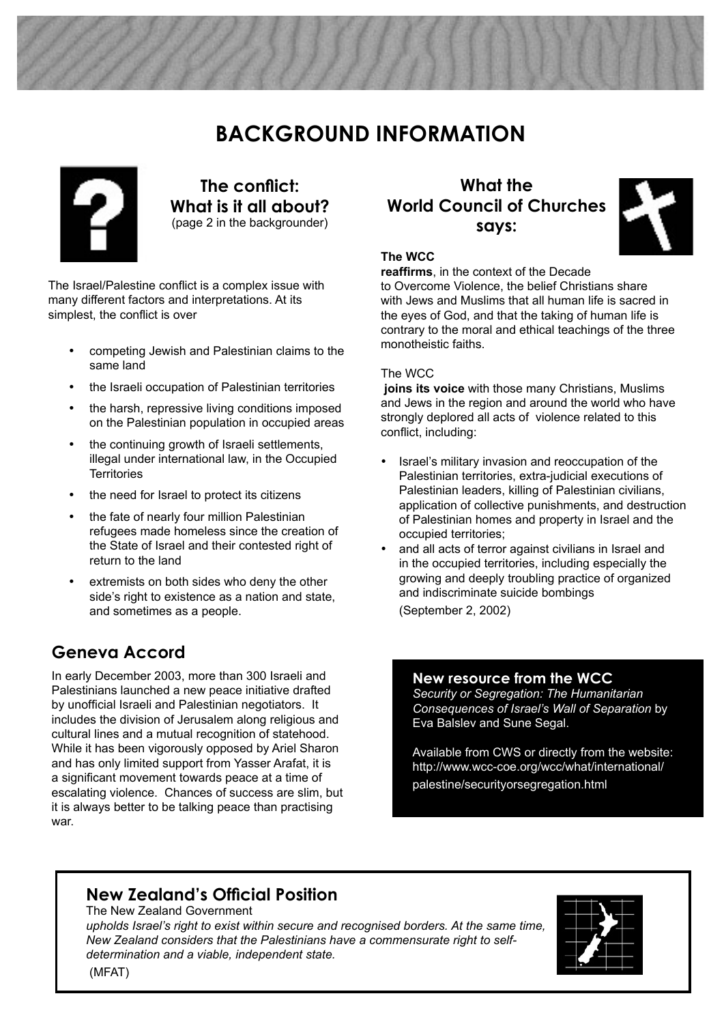# **BACKGROUND INFORMATION**



**The conflict: What is it all about?**  (page 2 in the backgrounder)

The Israel/Palestine conflict is a complex issue with many different factors and interpretations. At its simplest, the conflict is over

- competing Jewish and Palestinian claims to the same land
- the Israeli occupation of Palestinian territories
- the harsh, repressive living conditions imposed on the Palestinian population in occupied areas
- the continuing growth of Israeli settlements, illegal under international law, in the Occupied **Territories**
- the need for Israel to protect its citizens
- the fate of nearly four million Palestinian refugees made homeless since the creation of the State of Israel and their contested right of return to the land
- extremists on both sides who deny the other side's right to existence as a nation and state, and sometimes as a people.

# **Geneva Accord**

In early December 2003, more than 300 Israeli and Palestinians launched a new peace initiative drafted by unofficial Israeli and Palestinian negotiators. It includes the division of Jerusalem along religious and cultural lines and a mutual recognition of statehood. While it has been vigorously opposed by Ariel Sharon and has only limited support from Yasser Arafat, it is a significant movement towards peace at a time of escalating violence. Chances of success are slim, but it is always better to be talking peace than practising war.

# **What the World Council of Churches says:**



#### **The WCC**

**reaffirms**, in the context of the Decade

to Overcome Violence, the belief Christians share with Jews and Muslims that all human life is sacred in the eyes of God, and that the taking of human life is contrary to the moral and ethical teachings of the three monotheistic faiths.

#### The WCC

**joins its voice** with those many Christians, Muslims and Jews in the region and around the world who have strongly deplored all acts of violence related to this conflict, including:

- Israel's military invasion and reoccupation of the Palestinian territories, extra-judicial executions of Palestinian leaders, killing of Palestinian civilians, application of collective punishments, and destruction of Palestinian homes and property in Israel and the occupied territories;
- and all acts of terror against civilians in Israel and in the occupied territories, including especially the growing and deeply troubling practice of organized and indiscriminate suicide bombings (September 2, 2002)

**New resource from the WCC** *Security or Segregation: The Humanitarian Consequences of Israel's Wall of Separation* by Eva Balslev and Sune Segal.

Available from CWS or directly from the website: http://www.wcc-coe.org/wcc/what/international/ palestine/securityorsegregation.html

# **New Zealand's Official Position**

The New Zealand Government *upholds Israel's right to exist within secure and recognised borders. At the same time, New Zealand considers that the Palestinians have a commensurate right to selfdetermination and a viable, independent state.*

(MFAT)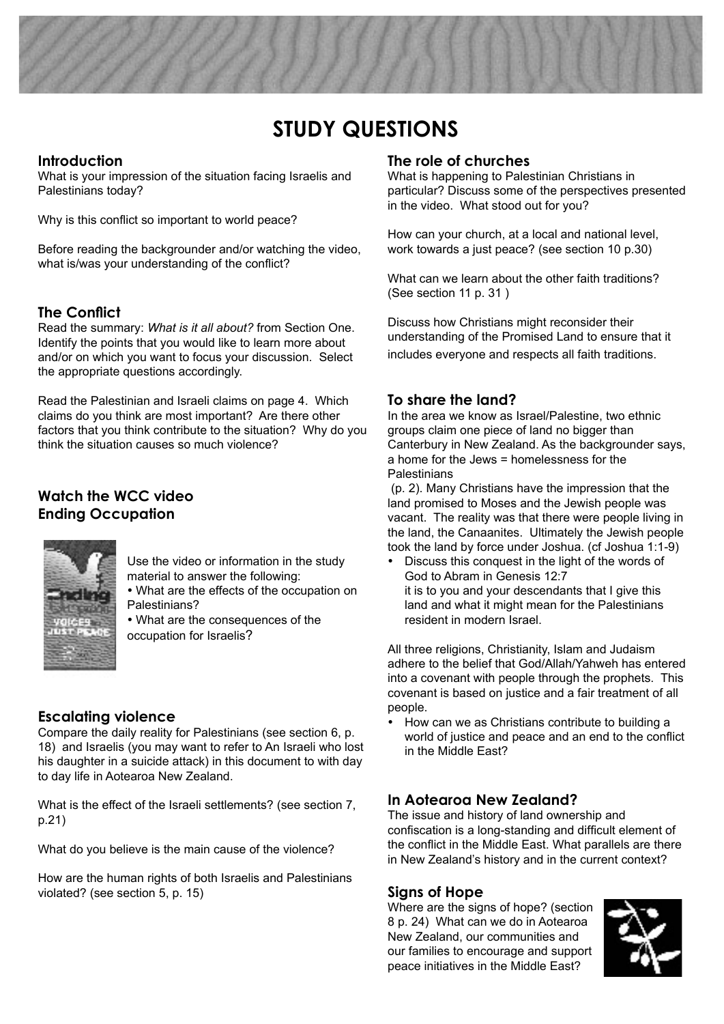# **STUDY QUESTIONS**

## **Introduction**

What is your impression of the situation facing Israelis and Palestinians today?

Why is this conflict so important to world peace?

Before reading the backgrounder and/or watching the video, what is/was your understanding of the conflict?

## **The Conflict**

Read the summary: *What is it all about?* from Section One. Identify the points that you would like to learn more about and/or on which you want to focus your discussion. Select the appropriate questions accordingly.

Read the Palestinian and Israeli claims on page 4. Which claims do you think are most important? Are there other factors that you think contribute to the situation? Why do you think the situation causes so much violence?

## **Watch the WCC video Ending Occupation**



Use the video or information in the study material to answer the following:

- What are the effects of the occupation on Palestinians?
- What are the consequences of the occupation for Israelis?

## **Escalating violence**

Compare the daily reality for Palestinians (see section 6, p. 18) and Israelis (you may want to refer to An Israeli who lost his daughter in a suicide attack) in this document to with day to day life in Aotearoa New Zealand.

What is the effect of the Israeli settlements? (see section 7, p.21)

What do you believe is the main cause of the violence?

How are the human rights of both Israelis and Palestinians violated? (see section 5, p. 15)

### **The role of churches**

What is happening to Palestinian Christians in particular? Discuss some of the perspectives presented in the video. What stood out for you?

How can your church, at a local and national level, work towards a just peace? (see section 10 p.30)

What can we learn about the other faith traditions? (See section 11 p. 31 )

Discuss how Christians might reconsider their understanding of the Promised Land to ensure that it includes everyone and respects all faith traditions.

## **To share the land?**

In the area we know as Israel/Palestine, two ethnic groups claim one piece of land no bigger than Canterbury in New Zealand. As the backgrounder says, a home for the Jews = homelessness for the Palestinians

 (p. 2). Many Christians have the impression that the land promised to Moses and the Jewish people was vacant. The reality was that there were people living in the land, the Canaanites. Ultimately the Jewish people took the land by force under Joshua. (cf Joshua 1:1-9)

• Discuss this conquest in the light of the words of God to Abram in Genesis 12:7 it is to you and your descendants that I give this land and what it might mean for the Palestinians resident in modern Israel.

All three religions, Christianity, Islam and Judaism adhere to the belief that God/Allah/Yahweh has entered into a covenant with people through the prophets. This covenant is based on justice and a fair treatment of all people.

• How can we as Christians contribute to building a world of justice and peace and an end to the conflict in the Middle East?

## **In Aotearoa New Zealand?**

The issue and history of land ownership and confiscation is a long-standing and difficult element of the conflict in the Middle East. What parallels are there in New Zealand's history and in the current context?

### **Signs of Hope**

Where are the signs of hope? (section 8 p. 24) What can we do in Aotearoa New Zealand, our communities and our families to encourage and support peace initiatives in the Middle East?